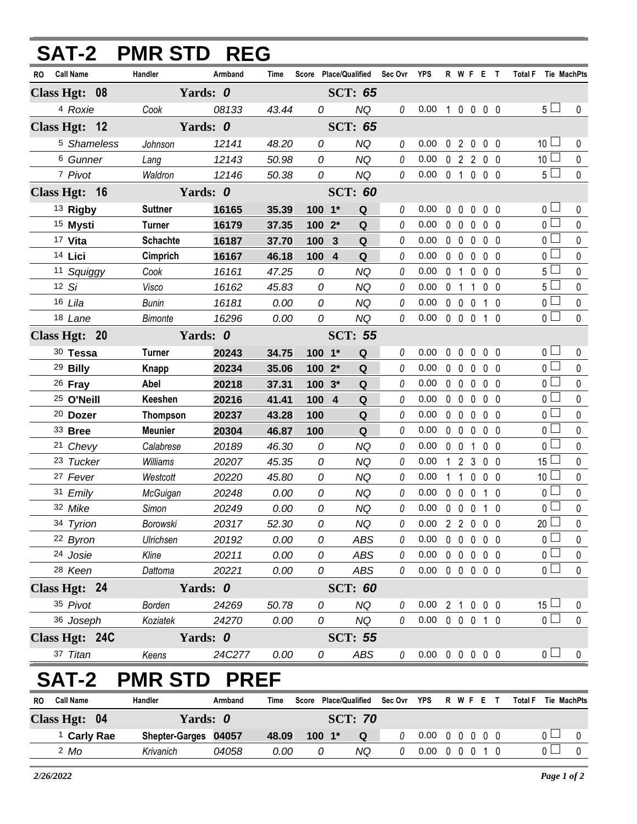| <b>SAT-2 PMR STD REG</b>      |                      |                |                |                |                        |             |                            |                     |                |                     |                              |                                  |                |
|-------------------------------|----------------------|----------------|----------------|----------------|------------------------|-------------|----------------------------|---------------------|----------------|---------------------|------------------------------|----------------------------------|----------------|
| <b>Call Name</b><br>RO        | Handler              | Armband        | Time           |                | Score Place/Qualified  | Sec Ovr     | <b>YPS</b>                 |                     |                |                     | R W F E T                    | Total F Tie MachPts              |                |
| Class Hgt: 08                 |                      | Yards: 0       |                |                | <b>SCT: 65</b>         |             |                            |                     |                |                     |                              |                                  |                |
| <sup>4</sup> Roxie            | Cook                 | 08133          | 43.44          | 0              | <b>NQ</b>              | 0           | 0.00                       |                     |                |                     | 10000                        | 5 <sub>1</sub>                   | 0              |
| Class Hgt: 12                 |                      | Yards: 0       |                |                | <b>SCT: 65</b>         |             |                            |                     |                |                     |                              |                                  |                |
| <sup>5</sup> Shameless        | Johnson              | 12141          | 48.20          | 0              | <b>NQ</b>              | 0           | 0.00                       |                     |                | 020                 | $0\quad 0$                   | 10 <sup>1</sup>                  | 0              |
| 6 Gunner                      | Lang                 | 12143          | 50.98          | 0              | <b>NQ</b>              | $\theta$    | 0.00                       |                     |                |                     | 02200                        | 10 <sup>1</sup>                  | $\mathbf 0$    |
| 7 Pivot                       | Waldron              | 12146          | 50.38          | 0              | <b>NQ</b>              | 0           | 0.00                       |                     |                |                     | 0 1 0 0 0                    | 5 <sub>1</sub>                   | $\mathbf 0$    |
| Class Hgt: 16                 | Yards: 0             |                |                |                | <b>SCT: 60</b>         |             |                            |                     |                |                     |                              |                                  |                |
| 13 Rigby                      | <b>Suttner</b>       | 16165          | 35.39          | 100 1*         | $\mathbf Q$            | 0           | 0.00                       | $\mathbf 0$         | $\mathbf 0$    | $\mathbf 0$         | 0 <sub>0</sub>               | 0 <sub>0</sub>                   | $\pmb{0}$      |
| 15 Mysti                      | <b>Turner</b>        | 16179          | 37.35          | $1002*$        | Q                      | 0           | 0.00                       |                     | $0\quad 0$     | $\mathbf 0$         | 0 <sub>0</sub>               | $\overline{0}$                   | $\mathbf{0}$   |
| 17 Vita                       | <b>Schachte</b>      | 16187          | 37.70          | 100            | $\mathbf{3}$<br>Q      | 0           | 0.00                       |                     | $0\quad 0$     | $\mathbf 0$         | $0\quad 0$                   | $\overline{0}$                   | 0              |
| 14 Lici                       | Cimprich             | 16167          | 46.18          | 100 4          | $\mathbf Q$            | 0           | 0.00                       |                     | $0\quad 0$     | $\mathbf 0$         | 0 <sub>0</sub>               | $\overline{0}$                   | $\pmb{0}$      |
| 11 Squiggy                    | Cook                 | 16161          | 47.25          | 0              | <b>NQ</b>              | 0           | 0.00                       |                     | 0 <sub>1</sub> | $\mathbf 0$         | 0 <sub>0</sub>               | 5 <sub>1</sub>                   | 0              |
| 12 Si                         | Visco                | 16162          | 45.83          | 0              | <b>NQ</b>              | 0           | 0.00                       |                     |                |                     | 0 1 1 0 0                    | $5 \Box$                         | $\mathbf 0$    |
| 16 Lila                       | <b>Bunin</b>         | 16181          | 0.00           | 0              | <b>NQ</b>              | 0           | 0.00                       |                     | $0\quad 0$     | $\mathbf 0$         | $1\quad0$                    | 0 <sup>1</sup>                   | 0              |
| 18 Lane                       | <b>Bimonte</b>       | 16296          | 0.00           | 0              | <b>NQ</b>              | 0           | 0.00                       |                     |                | $0\quad 0\quad 0$   | 10                           | $\overline{0}$ $\Box$            | $\mathbf 0$    |
| Class Hgt: 20                 | Yards: 0             |                |                |                | <b>SCT: 55</b>         |             |                            |                     |                |                     |                              |                                  |                |
| 30 Tessa                      | <b>Turner</b>        | 20243          | 34.75          | $100 - 1*$     | ${\bf Q}$              | 0           | 0.00                       | $\mathbf{0}$        | $\mathbf 0$    | $\mathbf{0}$        | 0 <sub>0</sub>               | 0 <sub>1</sub>                   | 0              |
| <sup>29</sup> Billy           | Knapp                | 20234          | 35.06          | $1002*$        | Q                      | 0           | 0.00                       |                     | $0\quad 0$     | 0                   | 0 <sub>0</sub>               | $\overline{0}$                   | $\pmb{0}$      |
| $26$ Fray                     | Abel                 | 20218          | 37.31          | $100.3*$       | Q                      | 0           | 0.00                       |                     | $0\quad 0$     | $\mathbf 0$         | 0 <sub>0</sub>               | 0 <sup>2</sup>                   | $\pmb{0}$      |
| <sup>25</sup> O'Neill         | Keeshen              | 20216          | 41.41          | 100 4          | ${\bf Q}$              | 0           | 0.00                       |                     | $0\quad 0$     | $\mathbf 0$         | 0 <sub>0</sub>               | $\overline{0}$                   | $\pmb{0}$      |
| <sup>20</sup> Dozer           | <b>Thompson</b>      | 20237          | 43.28          | 100            | Q                      | 0           | 0.00                       |                     | $0\quad 0$     | $\mathbf 0$         | 0 <sub>0</sub>               | 0 <sup>1</sup><br>$\overline{0}$ | 0              |
| 33 Bree                       | <b>Meunier</b>       | 20304          | 46.87          | 100            | ${\bf Q}$              | 0           | 0.00                       |                     | $0\quad 0$     | 0                   | 0 <sub>0</sub>               | 0 <sub>0</sub>                   | $\pmb{0}$      |
| 21 Chevy                      | Calabrese            | 20189          | 46.30          | 0<br>0         | <b>NQ</b><br><b>NQ</b> | 0<br>0      | 0.00<br>0.00               | 0 <sub>0</sub><br>1 |                | 1<br>2 <sub>3</sub> | 0 <sub>0</sub><br>$0\quad 0$ | 15 <sup>1</sup>                  | 0<br>$\pmb{0}$ |
| 23 Tucker<br>27 Fever         | Williams<br>Westcott | 20207<br>20220 | 45.35<br>45.80 | 0              | <b>NQ</b>              | 0           | 0.00                       |                     | $1\quad1$      | $\mathbf 0$         | 0 <sub>0</sub>               | 10 <sup>°</sup>                  | $\pmb{0}$      |
| 31 Emily                      | McGuigan             | 20248          | 0.00           | 0              | <b>NQ</b>              | 0           | 0.00                       |                     | $0\quad 0$     | $\mathbf 0$         | $1\quad0$                    | $\overline{0}$                   | $\mathbf 0$    |
| 32 Mike                       | Simon                | 20249          | 0.00           | 0              | NQ                     | 0           | 0.00 0 0 0 1 0             |                     |                |                     |                              | $\overline{0}$                   | $\mathbf 0$    |
| 34 Tyrion                     | Borowski             | 20317          | 52.30          | 0              | <b>NQ</b>              | 0           | 0.00                       |                     |                |                     | 2 2 0 0 0                    | $20$ $\Box$                      | 0              |
| 22 Byron                      | Ulrichsen            | 20192          | 0.00           | 0              | <b>ABS</b>             | 0           | 0.00                       |                     | $0\quad 0$     | $\mathsf{O}$        | $0\quad 0$                   | 0 L                              | 0              |
| 24 Josie                      | Kline                | 20211          | 0.00           | 0              | <b>ABS</b>             | 0           | 0.00                       |                     |                |                     | 00000                        | $\overline{0}$                   | 0              |
| 28 Keen                       | Dattoma              | 20221          | 0.00           | 0              | ABS                    | 0           | $0.00 \t0 \t0 \t0 \t0 \t0$ |                     |                |                     |                              | 0 <sup>2</sup>                   | 0              |
| Class Hgt: 24                 | Yards: 0             |                |                | <b>SCT: 60</b> |                        |             |                            |                     |                |                     |                              |                                  |                |
| 35 Pivot                      | Borden               | 24269          | 50.78          | 0              | NQ                     | 0           | 0.00                       |                     |                |                     | 2 1 0 0 0                    | $15\perp$                        | 0              |
| 36 Joseph                     | Koziatek             | 24270          | 0.00           | 0              | <b>NQ</b>              | $\theta$    | $0.00 \t0 \t0 \t0 \t1 \t0$ |                     |                |                     |                              | $\overline{0}$                   | 0              |
| Class Hgt: 24C                |                      | Yards: 0       |                |                | <b>SCT: 55</b>         |             |                            |                     |                |                     |                              |                                  |                |
| 37 Titan                      | Keens                | 24C277         | 0.00           | 0              | ABS                    | 0           | $0.00 \t0 \t0 \t0 \t0$     |                     |                |                     |                              | 0 <sup>1</sup>                   | 0              |
| SAT-2                         | <b>PMR STD</b>       | <b>PREF</b>    |                |                |                        |             |                            |                     |                |                     |                              |                                  |                |
| <b>Call Name</b><br><b>RO</b> | Handler              | Armband        | Time           |                | Score Place/Qualified  | Sec Ovr YPS |                            |                     |                |                     | R W F E T                    | <b>Total F</b><br>Tie MachPts    |                |
| Class Hgt: 04                 |                      | Yards: 0       | <b>SCT: 70</b> |                |                        |             |                            |                     |                |                     |                              |                                  |                |
| <sup>1</sup> Carly Rae        | Shepter-Garges 04057 |                | 48.09          | 100 1*         | Q                      | 0           | 0.00                       |                     |                |                     | 00000                        | $\overline{0}$                   | $\mathsf{U}$   |
| $2$ Mo                        | Krivanich            | 04058          | 0.00           | 0              | <b>NQ</b>              | 0           | $0.00 \t0 \t0 \t0 \t1 \t0$ |                     |                |                     |                              | 0 <sup>1</sup>                   | $\pmb{0}$      |